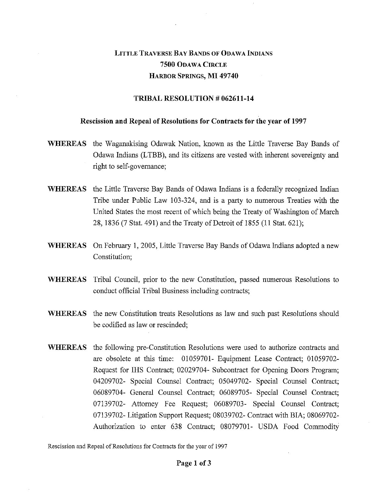## LITTLE TRAVERSE BAY BANDS OF ODAWA INDIANS 7500 ODAWA CIRCLE HARBOR SPRINGS, MI 49740

## TRIBAL RESOLUTION # 062611-14

## Rescission and Repeal of Resolutions for Contracts for the year of 1997

- WHEREAS the Waganakising Odawak Nation, known as the Little Traverse Bay Bands of Odawa Indians (LTBB), and its citizens are vested with inherent sovereignty and right to self-governance;
- WHEREAS the Little Traverse Bay Bands of Odawa Indians is a federally recognized Indian Tribe under Public Law 103-324, and is a party to numerous Treaties with the United States the most recent of which being the Treaty of Washington of March 28, 1836 (7 Stat. 491) and the Treaty of Detroit of 1855 (11 Stat. 621);
- WHEREAS On February 1, 2005, Little Traverse Bay Bands of Odawa Indians adopted a new Constitution;
- WHEREAS Tribal Council, prior to the new Constitution, passed numerous Resolutions to conduct official Tribal Business including contracts;
- WHEREAS the new Constitution treats Resolutions as law and such past Resolutions should be codified as law or rescinded;
- WHEREAS the following pre-Constitution Resolutions were used to authorize contracts and are obsolete at this time: 01059701- Equipment Lease Contract; 01059702- Request for IHS Contract; 02029704- Subcontract for Opening Doors Program; 04209702- Special Counsel Contract; 05049702- Special Counsel Contract; 06089704- General Counsel Contract; 06089705- Special Counsel Contract; 07139702- Attorney Fee Request; 06089703- Special Counsel Contract; 07139702- Litigation Support Request; 08039702- Contract with BIA; 08069702- Authorization to enter 638 Contract; 08079701- USDA Food Commodity

Rescission and Repeal of Resolutions for Contracts for the year of 1997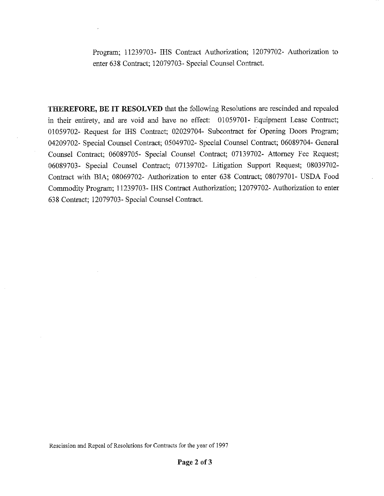Program; 11239703- IHS Contract Authorization; 12079702- Authorization to enter 638 Contract; 12079703- Special Counsel Contract.

THEREFORE, BE IT RESOLVED that the following Resolutions are rescinded and repealed in their entirety, and are void and have no effect: 01059701- Equipment Lease Contract; 01059702- Request for IHS Contract; 02029704- Subcontract for Opening Doors Program; 04209702- Special Counsel Contract; 05049702- Special Counsel Contract; 06089704- General Counsel Contract; 06089705- Special Counsel Contract; 07139702- Attorney Fee Request; 06089703- Special Counsel Contract; 07139702- Litigation Support Request; 08039702- Contract with BIA; 08069702- Authorization to enter 638 Contract; 08079701- USDA Food Commodity Program; 11239703- IHS Contract Authorization; 12079702- Authorization to enter 638 Contract; 12079703- Special Counsel Contract.